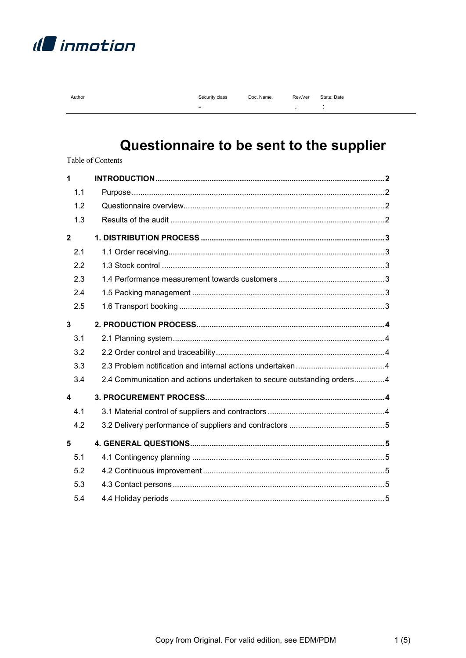

|--|

| Security class | Doc. Name. |
|----------------|------------|
|                |            |

 $\mathbb{Z}^2$ 

Rev.Ver State: Date

÷,

# Questionnaire to be sent to the supplier

Table of Contents

| 1                       |                                                                         |  |
|-------------------------|-------------------------------------------------------------------------|--|
| 1.1                     |                                                                         |  |
| 1.2                     |                                                                         |  |
| 1.3                     |                                                                         |  |
| $\overline{\mathbf{2}}$ |                                                                         |  |
| 2.1                     |                                                                         |  |
| 2.2                     |                                                                         |  |
| 2.3                     |                                                                         |  |
| 2.4                     |                                                                         |  |
| 2.5                     |                                                                         |  |
| $\overline{3}$          |                                                                         |  |
| 3.1                     |                                                                         |  |
| 3.2                     |                                                                         |  |
| 3.3                     |                                                                         |  |
| 3.4                     | 2.4 Communication and actions undertaken to secure outstanding orders 4 |  |
| $\blacktriangle$        |                                                                         |  |
| 4.1                     |                                                                         |  |
| 4.2                     |                                                                         |  |
| 5                       |                                                                         |  |
| 5.1                     |                                                                         |  |
| 5.2                     |                                                                         |  |
| 5.3                     |                                                                         |  |
| 5.4                     |                                                                         |  |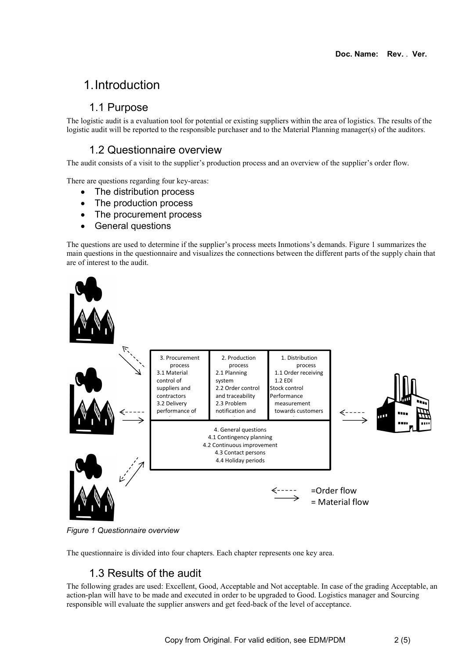# 1. Introduction

#### 1.1 Purpose

The logistic audit is a evaluation tool for potential or existing suppliers within the area of logistics. The results of the logistic audit will be reported to the responsible purchaser and to the Material Planning manager(s) of the auditors.

## 1.2 Questionnaire overview

The audit consists of a visit to the supplier's production process and an overview of the supplier's order flow.

There are questions regarding four key-areas:

- The distribution process
- The production process
- The procurement process
- General questions

The questions are used to determine if the supplier's process meets Inmotions's demands. Figure 1 summarizes the main questions in the questionnaire and visualizes the connections between the different parts of the supply chain that are of interest to the audit.



Figure 1 Questionnaire overview

The questionnaire is divided into four chapters. Each chapter represents one key area.

#### 1.3 Results of the audit

The following grades are used: Excellent, Good, Acceptable and Not acceptable. In case of the grading Acceptable, an action-plan will have to be made and executed in order to be upgraded to Good. Logistics manager and Sourcing responsible will evaluate the supplier answers and get feed-back of the level of acceptance.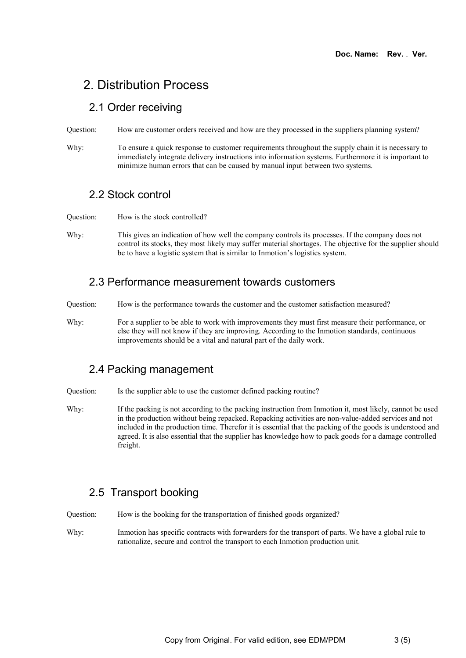# 2. Distribution Process

#### 2.1 Order receiving

Question: How are customer orders received and how are they processed in the suppliers planning system?

Why: To ensure a quick response to customer requirements throughout the supply chain it is necessary to immediately integrate delivery instructions into information systems. Furthermore it is important to minimize human errors that can be caused by manual input between two systems.

#### 2.2 Stock control

- Question: How is the stock controlled?
- Why: This gives an indication of how well the company controls its processes. If the company does not control its stocks, they most likely may suffer material shortages. The objective for the supplier should be to have a logistic system that is similar to Inmotion's logistics system.

#### 2.3 Performance measurement towards customers

- Question: How is the performance towards the customer and the customer satisfaction measured?
- Why: For a supplier to be able to work with improvements they must first measure their performance, or else they will not know if they are improving. According to the Inmotion standards, continuous improvements should be a vital and natural part of the daily work.

## 2.4 Packing management

Question: Is the supplier able to use the customer defined packing routine?

Why: If the packing is not according to the packing instruction from Inmotion it, most likely, cannot be used in the production without being repacked. Repacking activities are non-value-added services and not included in the production time. Therefor it is essential that the packing of the goods is understood and agreed. It is also essential that the supplier has knowledge how to pack goods for a damage controlled freight.

## 2.5 Transport booking

Question: How is the booking for the transportation of finished goods organized?

Why: Inmotion has specific contracts with forwarders for the transport of parts. We have a global rule to rationalize, secure and control the transport to each Inmotion production unit.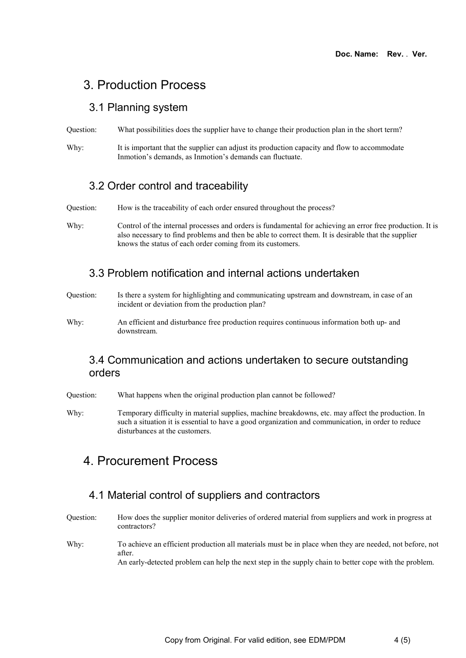## 3. Production Process

#### 3.1 Planning system

Question: What possibilities does the supplier have to change their production plan in the short term?

Why: It is important that the supplier can adjust its production capacity and flow to accommodate Inmotion's demands, as Inmotion's demands can fluctuate.

#### 3.2 Order control and traceability

Question: How is the traceability of each order ensured throughout the process?

Why: Control of the internal processes and orders is fundamental for achieving an error free production. It is also necessary to find problems and then be able to correct them. It is desirable that the supplier knows the status of each order coming from its customers.

#### 3.3 Problem notification and internal actions undertaken

- Question: Is there a system for highlighting and communicating upstream and downstream, in case of an incident or deviation from the production plan?
- Why: An efficient and disturbance free production requires continuous information both up- and downstream.

#### 3.4 Communication and actions undertaken to secure outstanding orders

Question: What happens when the original production plan cannot be followed?

Why: Temporary difficulty in material supplies, machine breakdowns, etc. may affect the production. In such a situation it is essential to have a good organization and communication, in order to reduce disturbances at the customers.

# 4. Procurement Process

#### 4.1 Material control of suppliers and contractors

Question: How does the supplier monitor deliveries of ordered material from suppliers and work in progress at contractors?

Why: To achieve an efficient production all materials must be in place when they are needed, not before, not after.